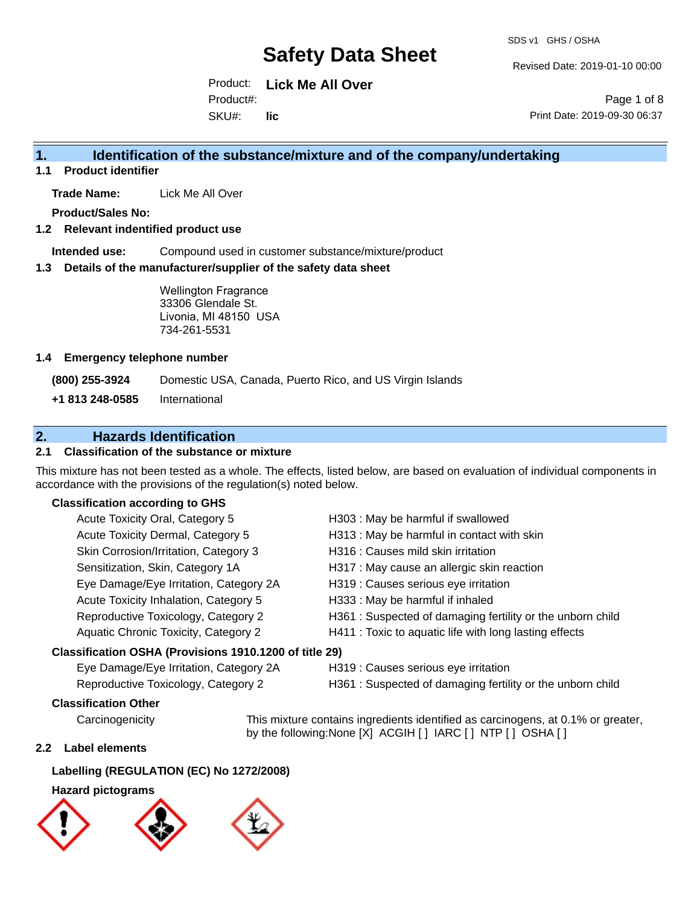Revised Date: 2019-01-10 00:00

Product: **Lick Me All Over** SKU#: Product#: **lic**

Page 1 of 8 Print Date: 2019-09-30 06:37

### **1. Identification of the substance/mixture and of the company/undertaking**

**1.1 Product identifier**

**Trade Name:** Lick Me All Over

**Product/Sales No:**

#### **1.2 Relevant indentified product use**

**Intended use:** Compound used in customer substance/mixture/product

#### **1.3 Details of the manufacturer/supplier of the safety data sheet**

Wellington Fragrance 33306 Glendale St. Livonia, MI 48150 USA 734-261-5531

#### **1.4 Emergency telephone number**

**(800) 255-3924** Domestic USA, Canada, Puerto Rico, and US Virgin Islands

**+1 813 248-0585** International

### **2. Hazards Identification**

### **2.1 Classification of the substance or mixture**

This mixture has not been tested as a whole. The effects, listed below, are based on evaluation of individual components in accordance with the provisions of the regulation(s) noted below.

#### **Classification according to GHS**

| Acute Toxicity Oral, Category 5                        | H303 : May be harmful if swallowed                         |
|--------------------------------------------------------|------------------------------------------------------------|
| Acute Toxicity Dermal, Category 5                      | H313 : May be harmful in contact with skin                 |
| Skin Corrosion/Irritation, Category 3                  | H316 : Causes mild skin irritation                         |
| Sensitization, Skin, Category 1A                       | H317 : May cause an allergic skin reaction                 |
| Eye Damage/Eye Irritation, Category 2A                 | H319 : Causes serious eye irritation                       |
| Acute Toxicity Inhalation, Category 5                  | H333: May be harmful if inhaled                            |
| Reproductive Toxicology, Category 2                    | H361 : Suspected of damaging fertility or the unborn child |
| Aquatic Chronic Toxicity, Category 2                   | H411 : Toxic to aquatic life with long lasting effects     |
| Classification OSHA (Provisions 1910.1200 of title 29) |                                                            |

- Eye Damage/Eye Irritation, Category 2A H319 : Causes serious eye irritation
- Reproductive Toxicology, Category 2 H361 : Suspected of damaging fertility or the unborn child

#### **Classification Other**

Carcinogenicity This mixture contains ingredients identified as carcinogens, at 0.1% or greater, by the following:None [X] ACGIH [ ] IARC [ ] NTP [ ] OSHA [ ]

#### **2.2 Label elements**

#### **Labelling (REGULATION (EC) No 1272/2008)**

#### **Hazard pictograms**

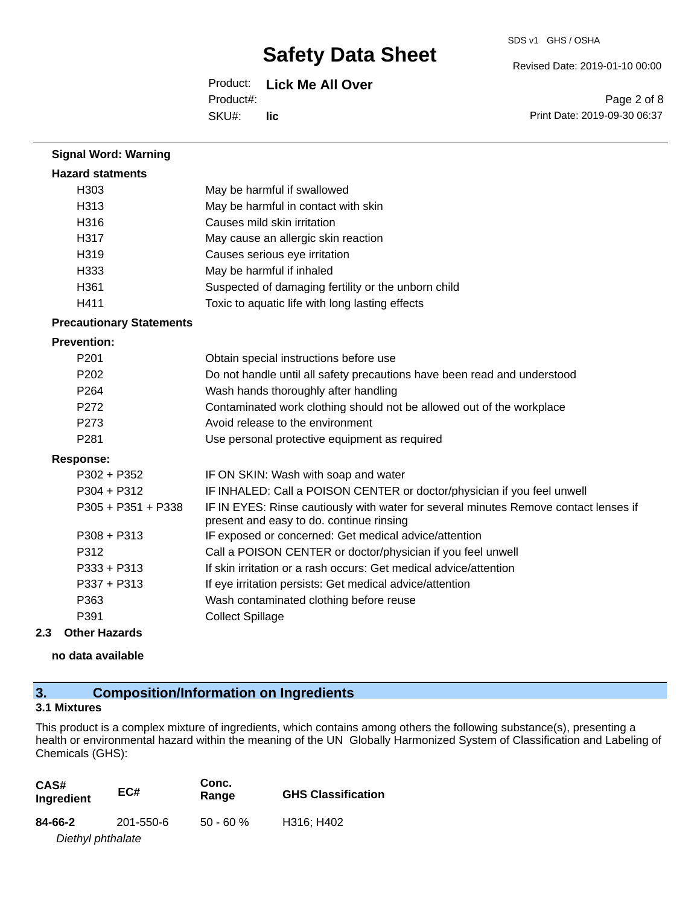#### SDS v1 GHS / OSHA

Revised Date: 2019-01-10 00:00

Product: **Lick Me All Over** SKU#: Product#: **lic**

Page 2 of 8 Print Date: 2019-09-30 06:37

| <b>Signal Word: Warning</b>     |                                                                                                                                  |
|---------------------------------|----------------------------------------------------------------------------------------------------------------------------------|
| <b>Hazard statments</b>         |                                                                                                                                  |
| H <sub>303</sub>                | May be harmful if swallowed                                                                                                      |
| H313                            | May be harmful in contact with skin                                                                                              |
| H316                            | Causes mild skin irritation                                                                                                      |
| H317                            | May cause an allergic skin reaction                                                                                              |
| H319                            | Causes serious eye irritation                                                                                                    |
| H333                            | May be harmful if inhaled                                                                                                        |
| H361                            | Suspected of damaging fertility or the unborn child                                                                              |
| H411                            | Toxic to aquatic life with long lasting effects                                                                                  |
| <b>Precautionary Statements</b> |                                                                                                                                  |
| <b>Prevention:</b>              |                                                                                                                                  |
| P201                            | Obtain special instructions before use                                                                                           |
| P202                            | Do not handle until all safety precautions have been read and understood                                                         |
| P <sub>264</sub>                | Wash hands thoroughly after handling                                                                                             |
| P272                            | Contaminated work clothing should not be allowed out of the workplace                                                            |
| P273                            | Avoid release to the environment                                                                                                 |
| P281                            | Use personal protective equipment as required                                                                                    |
| <b>Response:</b>                |                                                                                                                                  |
| P302 + P352                     | IF ON SKIN: Wash with soap and water                                                                                             |
| P304 + P312                     | IF INHALED: Call a POISON CENTER or doctor/physician if you feel unwell                                                          |
| P305 + P351 + P338              | IF IN EYES: Rinse cautiously with water for several minutes Remove contact lenses if<br>present and easy to do. continue rinsing |
| P308 + P313                     | IF exposed or concerned: Get medical advice/attention                                                                            |
| P312                            | Call a POISON CENTER or doctor/physician if you feel unwell                                                                      |
| P333 + P313                     | If skin irritation or a rash occurs: Get medical advice/attention                                                                |
| P337 + P313                     | If eye irritation persists: Get medical advice/attention                                                                         |
| P363                            | Wash contaminated clothing before reuse                                                                                          |
| P391                            | <b>Collect Spillage</b>                                                                                                          |
| 2.3<br><b>Other Hazards</b>     |                                                                                                                                  |

**no data available**

## **3. Composition/Information on Ingredients**

### **3.1 Mixtures**

This product is a complex mixture of ingredients, which contains among others the following substance(s), presenting a health or environmental hazard within the meaning of the UN Globally Harmonized System of Classification and Labeling of Chemicals (GHS):

| CAS#<br>Ingredient | EC#       | Conc.<br>Range | <b>GHS Classification</b> |
|--------------------|-----------|----------------|---------------------------|
| 84-66-2            | 201-550-6 | $50 - 60 \%$   | H316; H402                |
| Diethyl phthalate  |           |                |                           |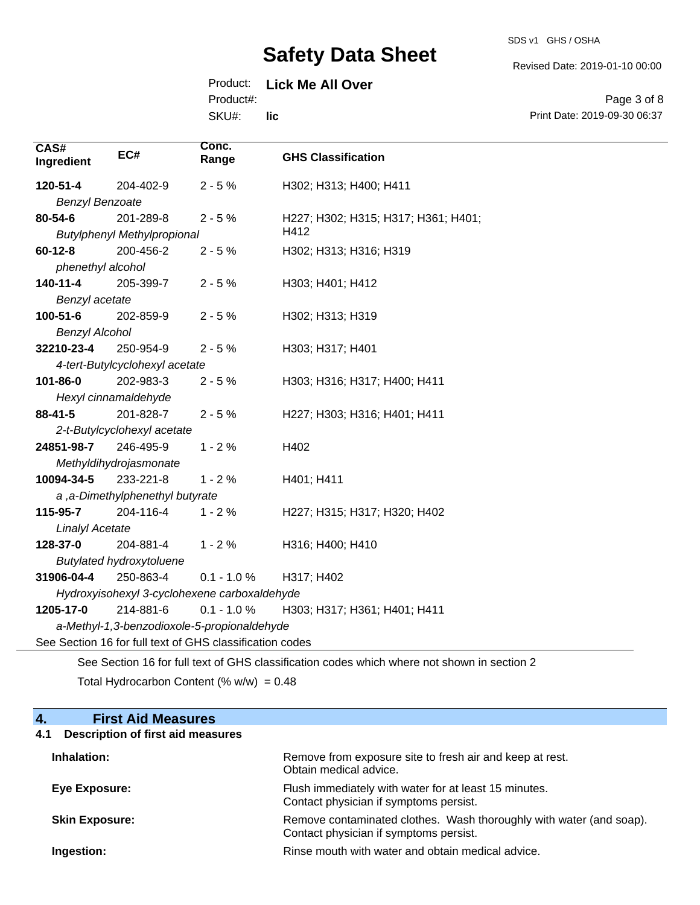Revised Date: 2019-01-10 00:00

### Product: **Lick Me All Over**

Product#:

SKU#: **lic**

Page 3 of 8 Print Date: 2019-09-30 06:37

| CAS#<br>Ingredient     | EC#                                | Conc.<br>Range                                           | <b>GHS Classification</b>                                                                   |
|------------------------|------------------------------------|----------------------------------------------------------|---------------------------------------------------------------------------------------------|
| 120-51-4               | 204-402-9                          | $2 - 5%$                                                 | H302; H313; H400; H411                                                                      |
| <b>Benzyl Benzoate</b> |                                    |                                                          |                                                                                             |
| 80-54-6                | 201-289-8                          | $2 - 5%$                                                 | H227; H302; H315; H317; H361; H401;                                                         |
|                        | <b>Butylphenyl Methylpropional</b> |                                                          | H412                                                                                        |
| $60 - 12 - 8$          | 200-456-2                          | $2 - 5%$                                                 | H302; H313; H316; H319                                                                      |
| phenethyl alcohol      |                                    |                                                          |                                                                                             |
| 140-11-4               | 205-399-7                          | $2 - 5%$                                                 | H303; H401; H412                                                                            |
| Benzyl acetate         |                                    |                                                          |                                                                                             |
| 100-51-6               | 202-859-9                          | $2 - 5%$                                                 | H302; H313; H319                                                                            |
| <b>Benzyl Alcohol</b>  |                                    |                                                          |                                                                                             |
| 32210-23-4             | 250-954-9                          | $2 - 5%$                                                 | H303; H317; H401                                                                            |
|                        | 4-tert-Butylcyclohexyl acetate     |                                                          |                                                                                             |
| 101-86-0               | 202-983-3                          | $2 - 5%$                                                 | H303; H316; H317; H400; H411                                                                |
|                        | Hexyl cinnamaldehyde               |                                                          |                                                                                             |
| 88-41-5                | 201-828-7                          | $2 - 5%$                                                 | H227; H303; H316; H401; H411                                                                |
|                        | 2-t-Butylcyclohexyl acetate        |                                                          |                                                                                             |
| 24851-98-7             | 246-495-9                          | $1 - 2%$                                                 | H402                                                                                        |
|                        | Methyldihydrojasmonate             |                                                          |                                                                                             |
| 10094-34-5             | 233-221-8                          | $1 - 2%$                                                 | H401; H411                                                                                  |
|                        | a ,a-Dimethylphenethyl butyrate    |                                                          |                                                                                             |
| 115-95-7               | 204-116-4                          | $1 - 2%$                                                 | H227; H315; H317; H320; H402                                                                |
| <b>Linalyl Acetate</b> |                                    |                                                          |                                                                                             |
| 128-37-0               | 204-881-4                          | $1 - 2%$                                                 | H316; H400; H410                                                                            |
|                        | <b>Butylated hydroxytoluene</b>    |                                                          |                                                                                             |
| 31906-04-4             | 250-863-4                          | $0.1 - 1.0 %$                                            | H317; H402                                                                                  |
|                        |                                    | Hydroxyisohexyl 3-cyclohexene carboxaldehyde             |                                                                                             |
| 1205-17-0              | 214-881-6                          | $0.1 - 1.0 %$                                            | H303; H317; H361; H401; H411                                                                |
|                        |                                    | a-Methyl-1,3-benzodioxole-5-propionaldehyde              |                                                                                             |
|                        |                                    | See Section 16 for full text of GHS classification codes |                                                                                             |
|                        |                                    |                                                          | See Section 16 for full text of GHS classification codes which where not shown in section 2 |

Total Hydrocarbon Content (%  $w/w$ ) = 0.48

### **4. First Aid Measures**

# **4.1 Description of first aid measures**

| Inhalation:           | Remove from exposure site to fresh air and keep at rest.<br>Obtain medical advice.                            |
|-----------------------|---------------------------------------------------------------------------------------------------------------|
| Eye Exposure:         | Flush immediately with water for at least 15 minutes.<br>Contact physician if symptoms persist.               |
| <b>Skin Exposure:</b> | Remove contaminated clothes. Wash thoroughly with water (and soap).<br>Contact physician if symptoms persist. |
| Ingestion:            | Rinse mouth with water and obtain medical advice.                                                             |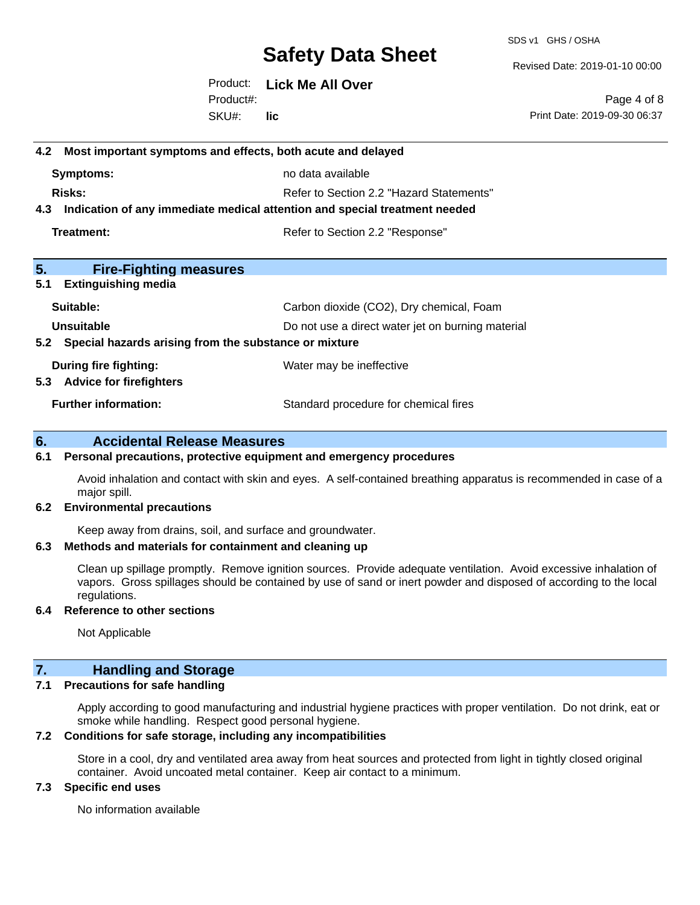SDS v1 GHS / OSHA

Revised Date: 2019-01-10 00:00

Product: **Lick Me All Over** SKU#: Product#: **lic**

Page 4 of 8 Print Date: 2019-09-30 06:37

# **4.2 Most important symptoms and effects, both acute and delayed Symptoms:** no data available **Risks:** Risks: Refer to Section 2.2 "Hazard Statements" **4.3 Indication of any immediate medical attention and special treatment needed Treatment:** Treatment: Treatment: Refer to Section 2.2 "Response" **5. Fire-Fighting measures 5.1 Extinguishing media** Suitable: Carbon dioxide (CO2), Dry chemical, Foam **Unsuitable** Do not use a direct water jet on burning material **5.2 Special hazards arising from the substance or mixture During fire fighting:** Water may be ineffective **5.3 Advice for firefighters Further information:** Standard procedure for chemical fires

### **6. Accidental Release Measures**

#### **6.1 Personal precautions, protective equipment and emergency procedures**

Avoid inhalation and contact with skin and eyes. A self-contained breathing apparatus is recommended in case of a major spill.

#### **6.2 Environmental precautions**

Keep away from drains, soil, and surface and groundwater.

#### **6.3 Methods and materials for containment and cleaning up**

Clean up spillage promptly. Remove ignition sources. Provide adequate ventilation. Avoid excessive inhalation of vapors. Gross spillages should be contained by use of sand or inert powder and disposed of according to the local regulations.

#### **6.4 Reference to other sections**

Not Applicable

#### **7. Handling and Storage**

#### **7.1 Precautions for safe handling**

Apply according to good manufacturing and industrial hygiene practices with proper ventilation. Do not drink, eat or smoke while handling. Respect good personal hygiene.

#### **7.2 Conditions for safe storage, including any incompatibilities**

Store in a cool, dry and ventilated area away from heat sources and protected from light in tightly closed original container. Avoid uncoated metal container. Keep air contact to a minimum.

#### **7.3 Specific end uses**

No information available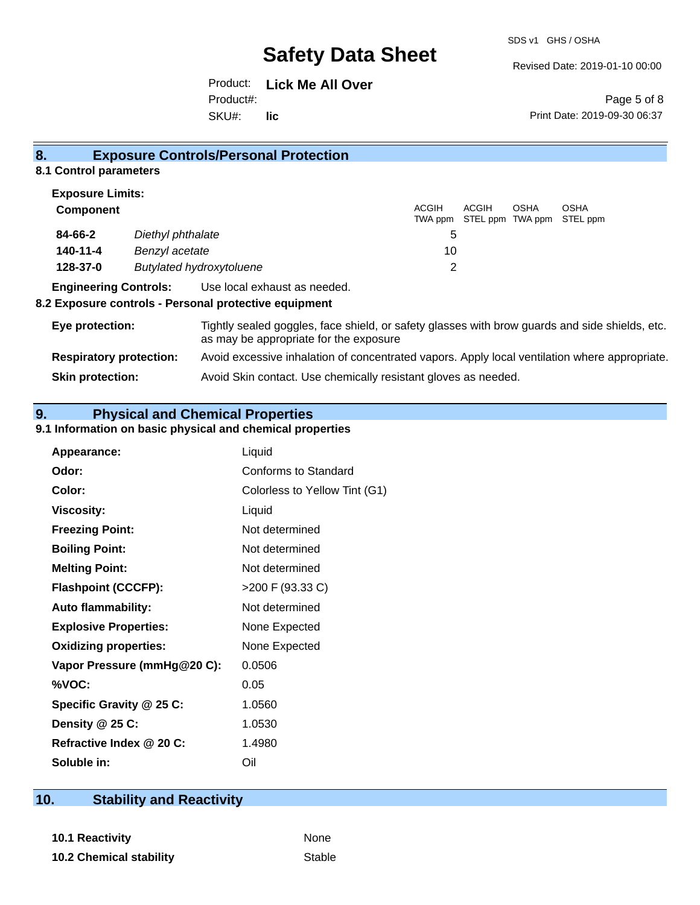Revised Date: 2019-01-10 00:00

Product: **Lick Me All Over** SKU#: Product#: **lic**

Page 5 of 8 Print Date: 2019-09-30 06:37

| 8.                                          | <b>Exposure Controls/Personal Protection</b> |       |                                   |             |                         |  |
|---------------------------------------------|----------------------------------------------|-------|-----------------------------------|-------------|-------------------------|--|
| 8.1 Control parameters                      |                                              |       |                                   |             |                         |  |
| <b>Exposure Limits:</b><br><b>Component</b> |                                              | ACGIH | ACGIH<br>TWA ppm STEL ppm TWA ppm | <b>OSHA</b> | <b>OSHA</b><br>STEL ppm |  |
| 84-66-2                                     | Diethyl phthalate                            | 5     |                                   |             |                         |  |
| 140-11-4                                    | Benzyl acetate                               | 10    |                                   |             |                         |  |
| 128-37-0                                    | <b>Butylated hydroxytoluene</b>              | 2     |                                   |             |                         |  |

#### **Engineering Controls:** Use local exhaust as needed.

#### **8.2 Exposure controls - Personal protective equipment**

| Eye protection:                | Tightly sealed goggles, face shield, or safety glasses with brow guards and side shields, etc.<br>as may be appropriate for the exposure |
|--------------------------------|------------------------------------------------------------------------------------------------------------------------------------------|
| <b>Respiratory protection:</b> | Avoid excessive inhalation of concentrated vapors. Apply local ventilation where appropriate.                                            |
| <b>Skin protection:</b>        | Avoid Skin contact. Use chemically resistant gloves as needed.                                                                           |

### **9. Physical and Chemical Properties**

#### **9.1 Information on basic physical and chemical properties**

| Appearance:                  | Liquid                        |
|------------------------------|-------------------------------|
| Odor:                        | <b>Conforms to Standard</b>   |
| Color:                       | Colorless to Yellow Tint (G1) |
| <b>Viscosity:</b>            | Liquid                        |
| <b>Freezing Point:</b>       | Not determined                |
| <b>Boiling Point:</b>        | Not determined                |
| <b>Melting Point:</b>        | Not determined                |
| <b>Flashpoint (CCCFP):</b>   | >200 F (93.33 C)              |
| <b>Auto flammability:</b>    | Not determined                |
| <b>Explosive Properties:</b> | None Expected                 |
| <b>Oxidizing properties:</b> | None Expected                 |
| Vapor Pressure (mmHg@20 C):  | 0.0506                        |
| %VOC:                        | 0.05                          |
| Specific Gravity @ 25 C:     | 1.0560                        |
| Density @ 25 C:              | 1.0530                        |
| Refractive Index @ 20 C:     | 1.4980                        |
| Soluble in:                  | Oil                           |

## **10. Stability and Reactivity**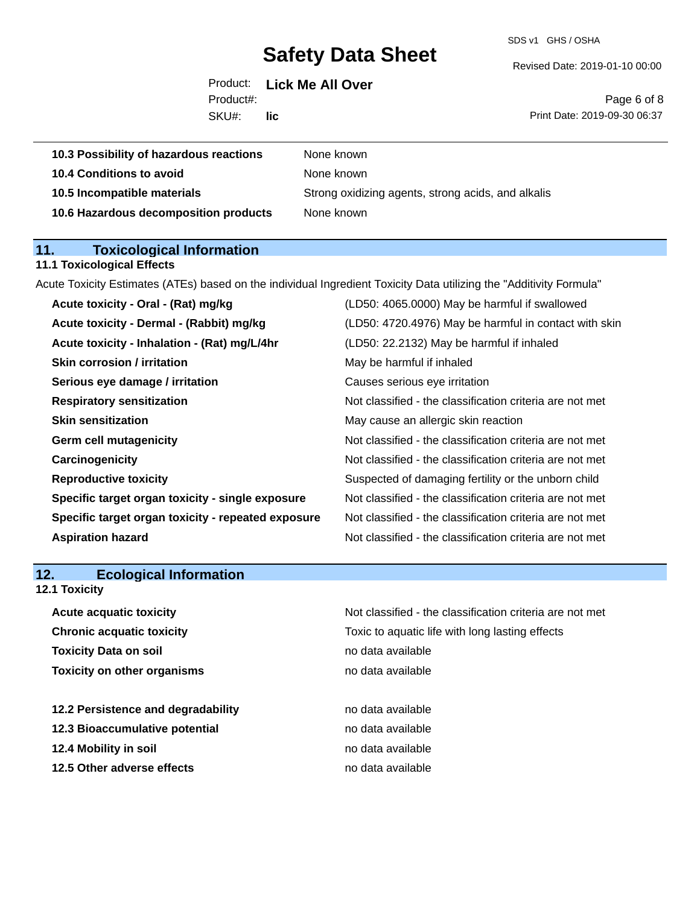SDS v1 GHS / OSHA

Revised Date: 2019-01-10 00:00

|           | Product: Lick Me All Over |
|-----------|---------------------------|
| Product#: |                           |
| SKU#:     | lic                       |

Page 6 of 8 Print Date: 2019-09-30 06:37

| 10.3 Possibility of hazardous reactions | None known                                         |
|-----------------------------------------|----------------------------------------------------|
| 10.4 Conditions to avoid                | None known                                         |
| 10.5 Incompatible materials             | Strong oxidizing agents, strong acids, and alkalis |
| 10.6 Hazardous decomposition products   | None known                                         |

# **11. Toxicological Information**

### **11.1 Toxicological Effects**

Acute Toxicity Estimates (ATEs) based on the individual Ingredient Toxicity Data utilizing the "Additivity Formula"

| Acute toxicity - Oral - (Rat) mg/kg                | (LD50: 4065.0000) May be harmful if swallowed            |
|----------------------------------------------------|----------------------------------------------------------|
| Acute toxicity - Dermal - (Rabbit) mg/kg           | (LD50: 4720.4976) May be harmful in contact with skin    |
| Acute toxicity - Inhalation - (Rat) mg/L/4hr       | (LD50: 22.2132) May be harmful if inhaled                |
| <b>Skin corrosion / irritation</b>                 | May be harmful if inhaled                                |
| Serious eye damage / irritation                    | Causes serious eye irritation                            |
| <b>Respiratory sensitization</b>                   | Not classified - the classification criteria are not met |
| <b>Skin sensitization</b>                          | May cause an allergic skin reaction                      |
| <b>Germ cell mutagenicity</b>                      | Not classified - the classification criteria are not met |
| Carcinogenicity                                    | Not classified - the classification criteria are not met |
| <b>Reproductive toxicity</b>                       | Suspected of damaging fertility or the unborn child      |
| Specific target organ toxicity - single exposure   | Not classified - the classification criteria are not met |
| Specific target organ toxicity - repeated exposure | Not classified - the classification criteria are not met |
| <b>Aspiration hazard</b>                           | Not classified - the classification criteria are not met |
|                                                    |                                                          |

# **12. Ecological Information**

### **12.1 Toxicity**

| Not classified - the classification criteria are not met |
|----------------------------------------------------------|
| Toxic to aquatic life with long lasting effects          |
| no data available                                        |
| no data available                                        |
|                                                          |
| no data available                                        |
| no data available                                        |
| no data available                                        |
| no data available                                        |
|                                                          |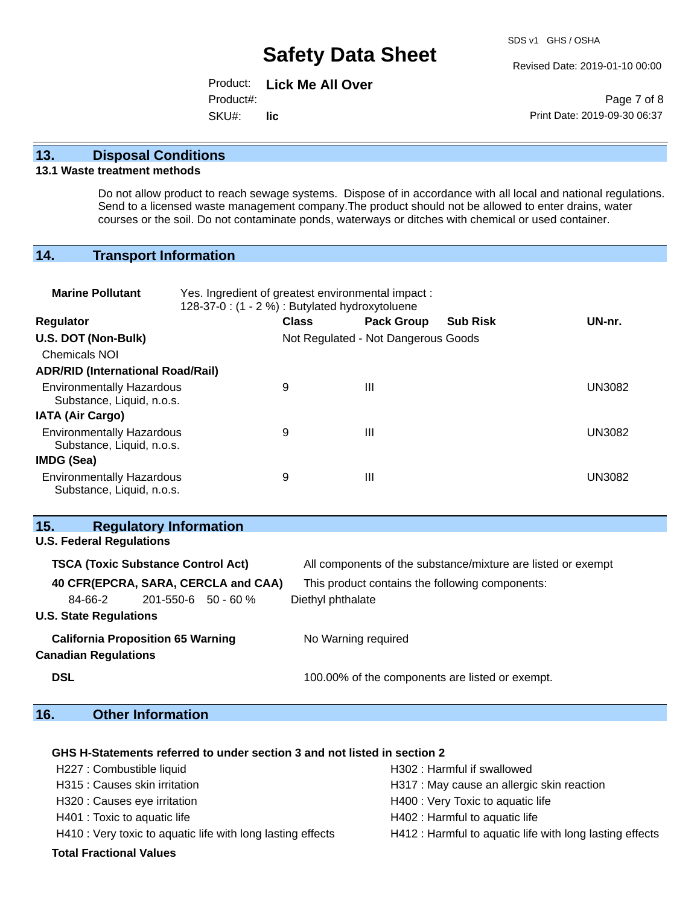Revised Date: 2019-01-10 00:00

Product: **Lick Me All Over** SKU#: Product#: **lic**

Page 7 of 8 Print Date: 2019-09-30 06:37

#### **13. Disposal Conditions**

#### **13.1 Waste treatment methods**

Do not allow product to reach sewage systems. Dispose of in accordance with all local and national regulations. Send to a licensed waste management company.The product should not be allowed to enter drains, water courses or the soil. Do not contaminate ponds, waterways or ditches with chemical or used container.

#### **14. Transport Information**

| <b>Marine Pollutant</b>                                       | Yes. Ingredient of greatest environmental impact:<br>128-37-0 : (1 - 2 %) : Butylated hydroxytoluene |                                     |                   |                 |        |
|---------------------------------------------------------------|------------------------------------------------------------------------------------------------------|-------------------------------------|-------------------|-----------------|--------|
| <b>Regulator</b>                                              |                                                                                                      | <b>Class</b>                        | <b>Pack Group</b> | <b>Sub Risk</b> | UN-nr. |
| U.S. DOT (Non-Bulk)                                           |                                                                                                      | Not Regulated - Not Dangerous Goods |                   |                 |        |
| <b>Chemicals NOI</b>                                          |                                                                                                      |                                     |                   |                 |        |
| <b>ADR/RID (International Road/Rail)</b>                      |                                                                                                      |                                     |                   |                 |        |
| <b>Environmentally Hazardous</b><br>Substance, Liquid, n.o.s. |                                                                                                      | 9                                   | $\mathbf{III}$    |                 | UN3082 |
| <b>IATA (Air Cargo)</b>                                       |                                                                                                      |                                     |                   |                 |        |
| <b>Environmentally Hazardous</b><br>Substance, Liquid, n.o.s. |                                                                                                      | 9                                   | $\mathbf{III}$    |                 | UN3082 |
| IMDG (Sea)                                                    |                                                                                                      |                                     |                   |                 |        |
| <b>Environmentally Hazardous</b><br>Substance, Liquid, n.o.s. |                                                                                                      | 9                                   | $\mathbf{III}$    |                 | UN3082 |

#### **15. Regulatory Information**

# **U.S. Federal Regulations TSCA (Toxic Substance Control Act)** All components of the substance/mixture are listed or exempt **40 CFR(EPCRA, SARA, CERCLA and CAA)** This product contains the following components: 84-66-2 201-550-6 50 - 60 % Diethyl phthalate **U.S. State Regulations California Proposition 65 Warning No Warning required Canadian Regulations DSL 100.00%** of the components are listed or exempt.

### **16. Other Information**

#### **GHS H-Statements referred to under section 3 and not listed in section 2**

| H227 : Combustible liquid                                   | H302 : Harmful if swallowed                              |
|-------------------------------------------------------------|----------------------------------------------------------|
| H315 : Causes skin irritation                               | H317 : May cause an allergic skin reaction               |
| H320 : Causes eye irritation                                | H400 : Very Toxic to aquatic life                        |
| H401 : Toxic to aquatic life                                | H402 : Harmful to aquatic life                           |
| H410 : Very toxic to aquatic life with long lasting effects | H412 : Harmful to aquatic life with long lasting effects |
|                                                             |                                                          |

#### **Total Fractional Values**